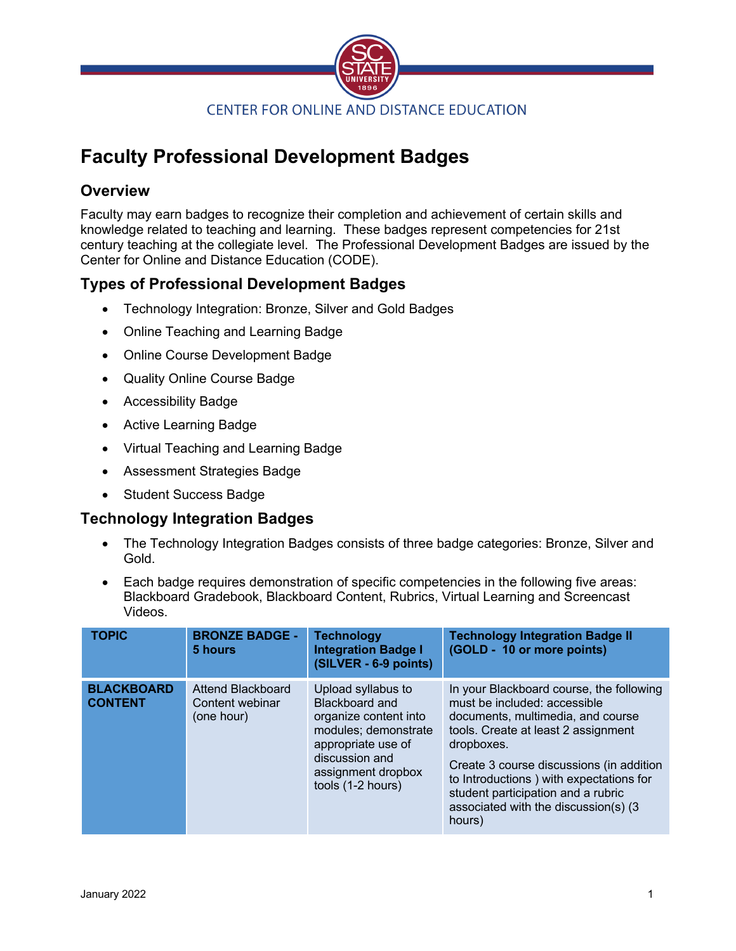

# **Faculty Professional Development Badges**

## **Overview**

Faculty may earn badges to recognize their completion and achievement of certain skills and knowledge related to teaching and learning. These badges represent competencies for 21st century teaching at the collegiate level. The Professional Development Badges are issued by the Center for Online and Distance Education (CODE).

# **Types of Professional Development Badges**

- Technology Integration: Bronze, Silver and Gold Badges
- Online Teaching and Learning Badge
- Online Course Development Badge
- Quality Online Course Badge
- Accessibility Badge
- Active Learning Badge
- Virtual Teaching and Learning Badge
- Assessment Strategies Badge
- Student Success Badge

## **Technology Integration Badges**

- The Technology Integration Badges consists of three badge categories: Bronze, Silver and Gold.
- Each badge requires demonstration of specific competencies in the following five areas: Blackboard Gradebook, Blackboard Content, Rubrics, Virtual Learning and Screencast Videos.

| <b>TOPIC</b>                        | <b>BRONZE BADGE -</b><br>5 hours                   | <b>Technology</b><br><b>Integration Badge I</b><br>(SILVER - 6-9 points)                                                                                                 | <b>Technology Integration Badge II</b><br>(GOLD - 10 or more points)                                                                                                                                                                                                                                                                               |
|-------------------------------------|----------------------------------------------------|--------------------------------------------------------------------------------------------------------------------------------------------------------------------------|----------------------------------------------------------------------------------------------------------------------------------------------------------------------------------------------------------------------------------------------------------------------------------------------------------------------------------------------------|
| <b>BLACKBOARD</b><br><b>CONTENT</b> | Attend Blackboard<br>Content webinar<br>(one hour) | Upload syllabus to<br>Blackboard and<br>organize content into<br>modules; demonstrate<br>appropriate use of<br>discussion and<br>assignment dropbox<br>tools (1-2 hours) | In your Blackboard course, the following<br>must be included: accessible<br>documents, multimedia, and course<br>tools. Create at least 2 assignment<br>dropboxes.<br>Create 3 course discussions (in addition<br>to Introductions ) with expectations for<br>student participation and a rubric<br>associated with the discussion(s) (3<br>hours) |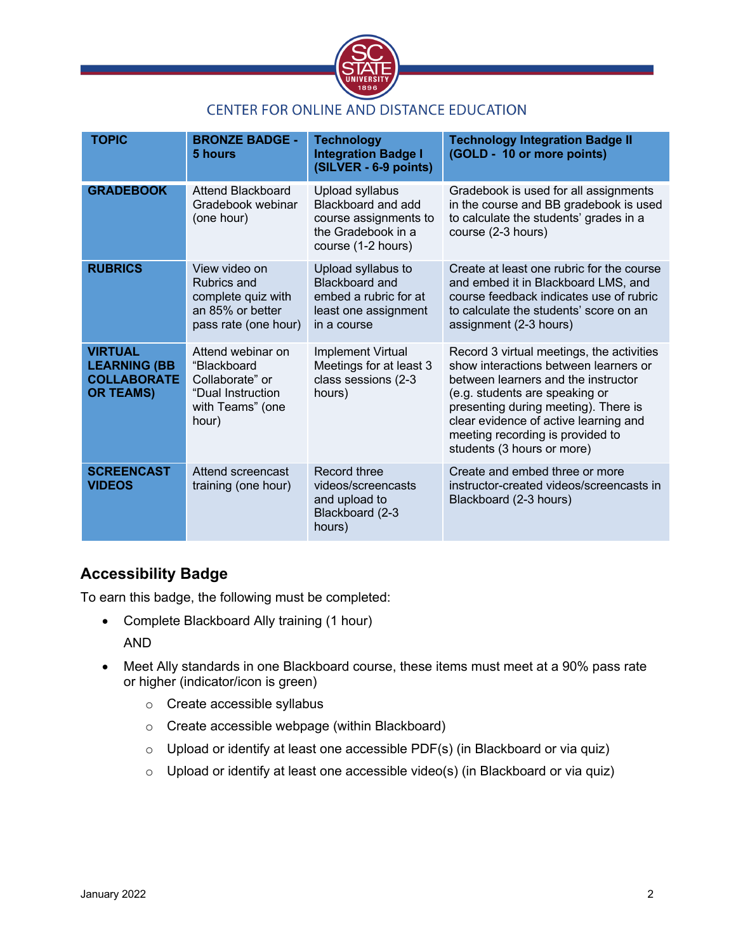

## CENTER FOR ONLINE AND DISTANCE EDUCATION

| <b>TOPIC</b>                                                                    | <b>BRONZE BADGE -</b><br>5 hours                                                                      | <b>Technology</b><br><b>Integration Badge I</b><br>(SILVER - 6-9 points)                                    | <b>Technology Integration Badge II</b><br>(GOLD - 10 or more points)                                                                                                                                                                                                                                           |
|---------------------------------------------------------------------------------|-------------------------------------------------------------------------------------------------------|-------------------------------------------------------------------------------------------------------------|----------------------------------------------------------------------------------------------------------------------------------------------------------------------------------------------------------------------------------------------------------------------------------------------------------------|
| <b>GRADEBOOK</b>                                                                | Attend Blackboard<br>Gradebook webinar<br>(one hour)                                                  | Upload syllabus<br>Blackboard and add<br>course assignments to<br>the Gradebook in a<br>course (1-2 hours)  | Gradebook is used for all assignments<br>in the course and BB gradebook is used<br>to calculate the students' grades in a<br>course (2-3 hours)                                                                                                                                                                |
| <b>RUBRICS</b>                                                                  | View video on<br><b>Rubrics and</b><br>complete quiz with<br>an 85% or better<br>pass rate (one hour) | Upload syllabus to<br><b>Blackboard and</b><br>embed a rubric for at<br>least one assignment<br>in a course | Create at least one rubric for the course<br>and embed it in Blackboard LMS, and<br>course feedback indicates use of rubric<br>to calculate the students' score on an<br>assignment (2-3 hours)                                                                                                                |
| <b>VIRTUAL</b><br><b>LEARNING (BB</b><br><b>COLLABORATE</b><br><b>OR TEAMS)</b> | Attend webinar on<br>"Blackboard<br>Collaborate" or<br>"Dual Instruction<br>with Teams" (one<br>hour) | Implement Virtual<br>Meetings for at least 3<br>class sessions (2-3<br>hours)                               | Record 3 virtual meetings, the activities<br>show interactions between learners or<br>between learners and the instructor<br>(e.g. students are speaking or<br>presenting during meeting). There is<br>clear evidence of active learning and<br>meeting recording is provided to<br>students (3 hours or more) |
| <b>SCREENCAST</b><br><b>VIDEOS</b>                                              | Attend screencast<br>training (one hour)                                                              | Record three<br>videos/screencasts<br>and upload to<br>Blackboard (2-3<br>hours)                            | Create and embed three or more<br>instructor-created videos/screencasts in<br>Blackboard (2-3 hours)                                                                                                                                                                                                           |

# **Accessibility Badge**

To earn this badge, the following must be completed:

• Complete Blackboard Ally training (1 hour)

AND

- Meet Ally standards in one Blackboard course, these items must meet at a 90% pass rate or higher (indicator/icon is green)
	- o Create accessible syllabus
	- o Create accessible webpage (within Blackboard)
	- o Upload or identify at least one accessible PDF(s) (in Blackboard or via quiz)
	- o Upload or identify at least one accessible video(s) (in Blackboard or via quiz)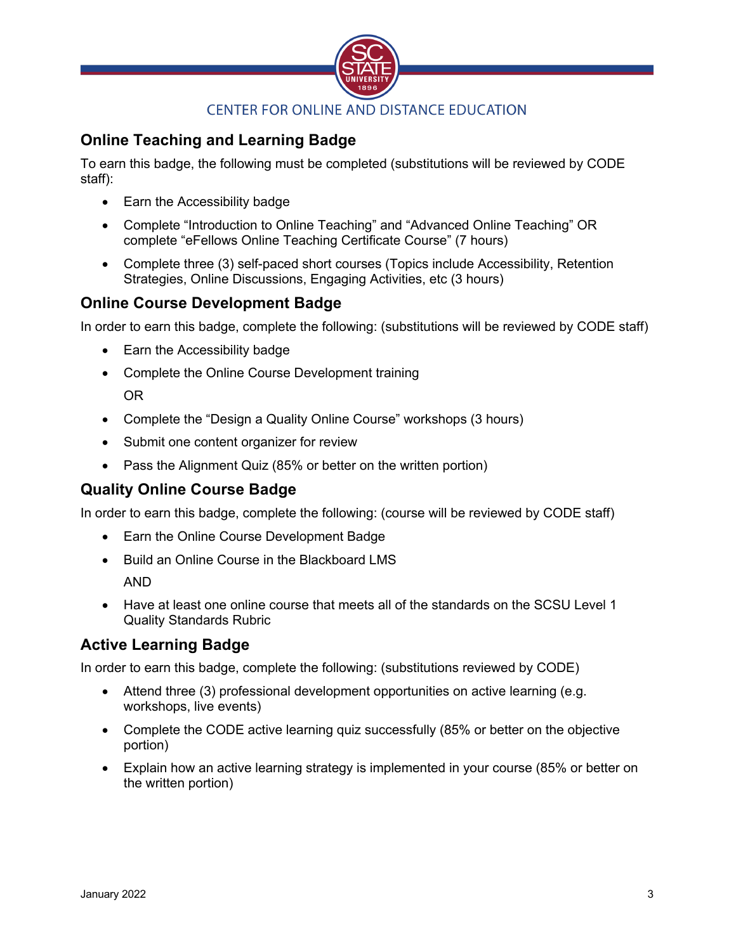

# **Online Teaching and Learning Badge**

To earn this badge, the following must be completed (substitutions will be reviewed by CODE staff):

- Earn the Accessibility badge
- Complete "Introduction to Online Teaching" and "Advanced Online Teaching" OR complete "eFellows Online Teaching Certificate Course" (7 hours)
- Complete three (3) self-paced short courses (Topics include Accessibility, Retention Strategies, Online Discussions, Engaging Activities, etc (3 hours)

## **Online Course Development Badge**

In order to earn this badge, complete the following: (substitutions will be reviewed by CODE staff)

- Earn the Accessibility badge
- Complete the Online Course Development training OR
- Complete the "Design a Quality Online Course" workshops (3 hours)
- Submit one content organizer for review
- Pass the Alignment Quiz (85% or better on the written portion)

## **Quality Online Course Badge**

In order to earn this badge, complete the following: (course will be reviewed by CODE staff)

- Earn the Online Course Development Badge
- Build an Online Course in the Blackboard LMS AND
- Have at least one online course that meets all of the standards on the SCSU Level 1 Quality Standards Rubric

#### **Active Learning Badge**

In order to earn this badge, complete the following: (substitutions reviewed by CODE)

- Attend three (3) professional development opportunities on active learning (e.g. workshops, live events)
- Complete the CODE active learning quiz successfully (85% or better on the objective portion)
- Explain how an active learning strategy is implemented in your course (85% or better on the written portion)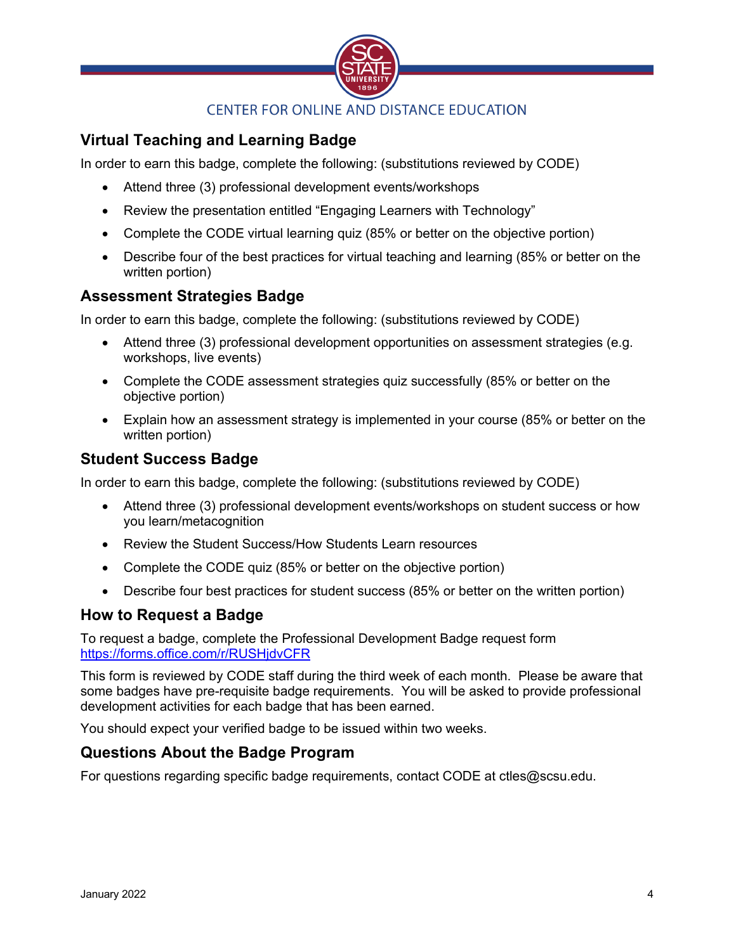

### **CENTER FOR ONLINE AND DISTANCE EDUCATION**

# **Virtual Teaching and Learning Badge**

In order to earn this badge, complete the following: (substitutions reviewed by CODE)

- Attend three (3) professional development events/workshops
- Review the presentation entitled "Engaging Learners with Technology"
- Complete the CODE virtual learning quiz (85% or better on the objective portion)
- Describe four of the best practices for virtual teaching and learning (85% or better on the written portion)

#### **Assessment Strategies Badge**

In order to earn this badge, complete the following: (substitutions reviewed by CODE)

- Attend three (3) professional development opportunities on assessment strategies (e.g. workshops, live events)
- Complete the CODE assessment strategies quiz successfully (85% or better on the objective portion)
- Explain how an assessment strategy is implemented in your course (85% or better on the written portion)

#### **Student Success Badge**

In order to earn this badge, complete the following: (substitutions reviewed by CODE)

- Attend three (3) professional development events/workshops on student success or how you learn/metacognition
- Review the Student Success/How Students Learn resources
- Complete the CODE quiz (85% or better on the objective portion)
- Describe four best practices for student success (85% or better on the written portion)

#### **How to Request a Badge**

To request a badge, complete the Professional Development Badge request form https://forms.office.com/r/RUSHjdvCFR

This form is reviewed by CODE staff during the third week of each month. Please be aware that some badges have pre-requisite badge requirements. You will be asked to provide professional development activities for each badge that has been earned.

You should expect your verified badge to be issued within two weeks.

#### **Questions About the Badge Program**

For questions regarding specific badge requirements, contact CODE at ctles@scsu.edu.